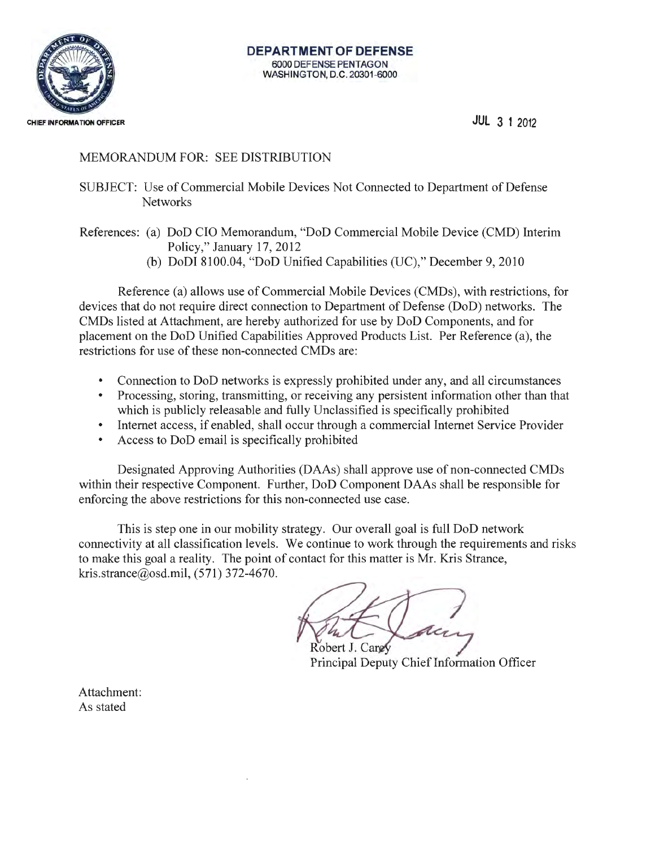

**JUL 3 1** <sup>2012</sup>

## MEMORANDUM FOR: SEE DISTRIBUTION

SUBJECT: Use of Commercial Mobile Devices Not Connected to Department of Defense **Networks** 

References: (a) DoD CIO Memorandum, "DoD Commercial Mobile Device (CMD) Interim Policy," January 17, 2012

(b) DoDI 8100.04, "DoD Unified Capabilities (UC)," December 9, 2010

Reference (a) allows use of Commercial Mobile Devices (CMDs), with restrictions, for devices that do not require direct connection to Department of Defense (DoD) networks. The CMDs listed at Attachment, are hereby authorized for use by DoD Components, and for placement on the DoD Unified Capabilities Approved Products List. Per Reference (a), the restrictions for use of these non-connected CMDs are:

- Connection to DoD networks is expressly prohibited under any, and all circumstances
- Processing, storing, transmitting, or receiving any persistent information other than that which is publicly releasable and fully Unclassified is specifically prohibited
- Internet access, if enabled, shall occur through a commercial Internet Service Provider
- Access to DoD email is specifically prohibited

Designated Approving Authorities (DAAs) shall approve use of non-connected CMDs within their respective Component. Further, DoD Component DAAs shall be responsible for enforcing the above restrictions for this non-connected use case.

This is step one in our mobility strategy. Our overall goal is full DoD network connectivity at all classification levels. We continue to work through the requirements and risks to make this goal a reality. The point of contact for this matter is Mr. Kris Strance, kris.strance@osd.mil, (571) 372-4670.

Robert J. Cargy

Principal Deputy Chief Information Officer

Attachment: As stated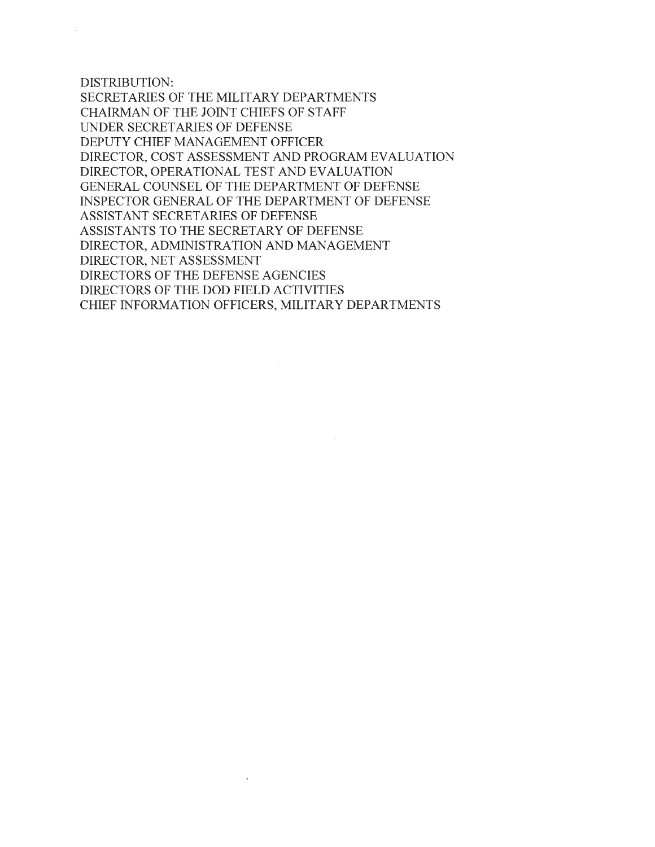DISTRIBUTION:

SECRETARIES OF THE MILITARY DEPARTMENTS CHAIRMAN OF THE JOINT CHIEFS OF STAFF UNDER SECRET ARIES OF DEFENSE DEPUTY CHIEF MANAGEMENT OFFICER DIRECTOR, COST ASSESSMENT AND PROGRAM EVALUATION DIRECTOR, OPERATIONAL TEST AND EVALUATION GENERAL COUNSEL OF THE DEPARTMENT OF DEFENSE INSPECTOR GENERAL OF THE DEPARTMENT OF DEFENSE ASSISTANT SECRETARIES OF DEFENSE ASSISTANTS TO THE SECRETARY OF DEFENSE DIRECTOR, ADMINISTRATION AND MANAGEMENT DIRECTOR, NET ASSESSMENT DIRECTORS OF THE DEFENSE AGENCIES DIRECTORS OF THE DOD FIELD ACTIVITIES CHIEF INFORMATION OFFICERS, MILITARY DEPARTMENTS